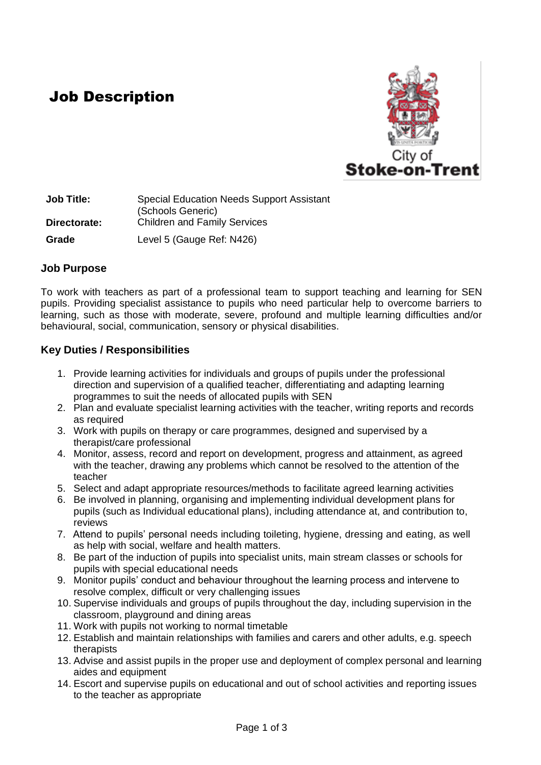## Job Description



**Job Title:** Special Education Needs Support Assistant (Schools Generic) **Directorate:** Children and Family Services **Grade** Level 5 (Gauge Ref: N426)

#### **Job Purpose**

To work with teachers as part of a professional team to support teaching and learning for SEN pupils. Providing specialist assistance to pupils who need particular help to overcome barriers to learning, such as those with moderate, severe, profound and multiple learning difficulties and/or behavioural, social, communication, sensory or physical disabilities.

### **Key Duties / Responsibilities**

- 1. Provide learning activities for individuals and groups of pupils under the professional direction and supervision of a qualified teacher, differentiating and adapting learning programmes to suit the needs of allocated pupils with SEN
- 2. Plan and evaluate specialist learning activities with the teacher, writing reports and records as required
- 3. Work with pupils on therapy or care programmes, designed and supervised by a therapist/care professional
- 4. Monitor, assess, record and report on development, progress and attainment, as agreed with the teacher, drawing any problems which cannot be resolved to the attention of the teacher
- 5. Select and adapt appropriate resources/methods to facilitate agreed learning activities
- 6. Be involved in planning, organising and implementing individual development plans for pupils (such as Individual educational plans), including attendance at, and contribution to, reviews
- 7. Attend to pupils' personal needs including toileting, hygiene, dressing and eating, as well as help with social, welfare and health matters.
- 8. Be part of the induction of pupils into specialist units, main stream classes or schools for pupils with special educational needs
- 9. Monitor pupils' conduct and behaviour throughout the learning process and intervene to resolve complex, difficult or very challenging issues
- 10. Supervise individuals and groups of pupils throughout the day, including supervision in the classroom, playground and dining areas
- 11. Work with pupils not working to normal timetable
- 12. Establish and maintain relationships with families and carers and other adults, e.g. speech therapists
- 13. Advise and assist pupils in the proper use and deployment of complex personal and learning aides and equipment
- 14. Escort and supervise pupils on educational and out of school activities and reporting issues to the teacher as appropriate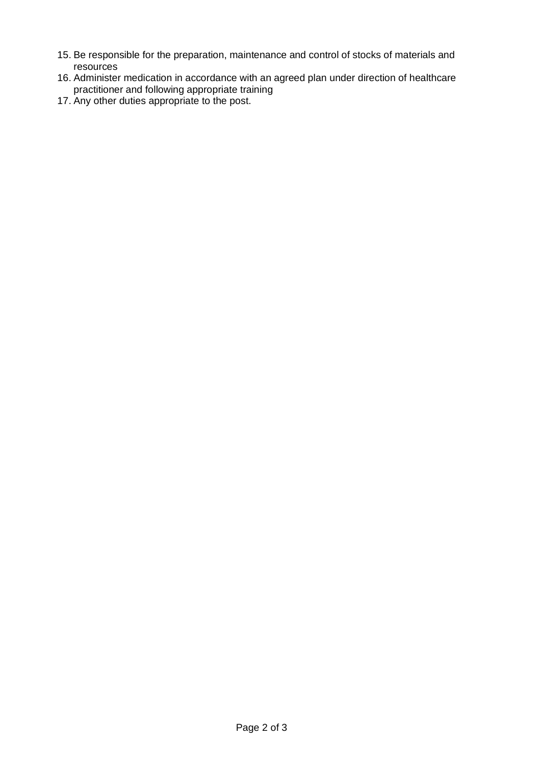- 15. Be responsible for the preparation, maintenance and control of stocks of materials and resources
- 16. Administer medication in accordance with an agreed plan under direction of healthcare practitioner and following appropriate training
- 17. Any other duties appropriate to the post.